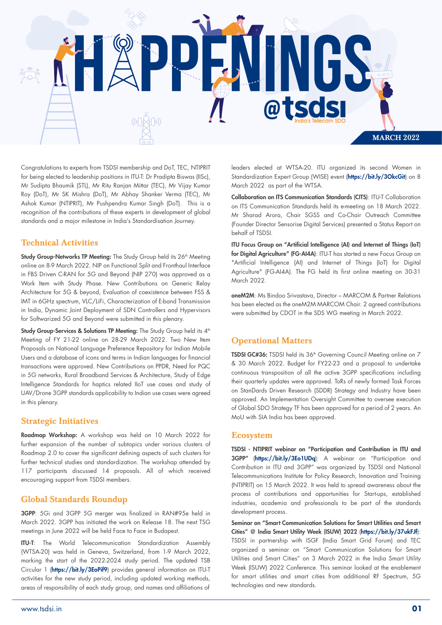

Congratulations to experts from TSDSI membership and DoT, TEC, NTIPRIT for being elected to leadership positions in ITU-T: Dr Pradipta Biswas (IISc), Mr Sudipta Bhaumik (STL), Mr Ritu Ranjan Mittar (TEC), Mr Vijay Kumar Roy (DoT), Mr SK Mishra (DoT), Mr Abhay Shanker Verma (TEC), Mr Ashok Kumar (NTIPRIT), Mr Pushpendra Kumar Singh (DoT). This is a recognition of the contributions of these experts in development of global standards and a major milestone in India's Standardisation Journey.

### Technical Activities

Study Group-Networks TP Meeting: The Study Group held its 26<sup>th</sup> Meeting online on 8-9 March 2022. NIP on Functional Split and Fronthaul Interface in FBS Driven C-RAN for 5G and Beyond (NIP 270) was approved as a Work Item with Study Phase. New Contributions on Generic Relay Architecture for 5G & beyond, Evaluation of coexistence between FSS & IMT in 6GHz spectrum, VLC/LiFi, Characterization of E-band Transmission in India, Dynamic Joint Deployment of SDN Controllers and Hypervisors for Softwarized 5G and Beyond were submitted in this plenary.

Study Group-Services & Solutions TP Meeting: The Study Group held its 4<sup>th</sup> Meeting of FY 21-22 online on 28-29 March 2022. Two New Item Proposals on National Language Preference Repository for Indian Mobile Users and a database of icons and terms in Indian languages for financial transactions were approved. New Contributions on PPDR, Need for PQC in 5G networks, Rural Broadband Services & Architecture, Study of Edge Intelligence Standards for haptics related IIoT use cases and study of UAV/Drone 3GPP standards applicability to Indian use cases were agreed in this plenary.

### Strategic Initiatives

Roadmap Workshop: A workshop was held on 10 March 2022 for further expansion of the number of subtopics under various clusters of Roadmap 2.0 to cover the significant defining aspects of such clusters for further technical studies and standardization. The workshop attended by 117 participants discussed 14 proposals. All of which received encouraging support from TSDSI members.

## Global Standards Roundup

3GPP: 5Gi and 3GPP 5G merger was finalized in RAN#95e held in March 2022. 3GPP has initiated the work on Release 18. The next TSG meetings in June 2022 will be held Face to Face in Budapest.

ITU-T: The World Telecommunication Standardization Assembly (WTSA-20) was held in Geneva, Switzerland, from 1-9 March 2022, marking the start of the 2022-2024 study period. The updated TSB Circular 1 (https://bit.ly/3EoPif9) provides general information on ITU-T activities for the new study period, including updated working methods, areas of responsibility of each study group, and names and afliations of

leaders elected at WTSA-20. ITU organized its second Women in Standardization Expert Group (WISE) event (https://bit.ly/3OkcGit) on 8 March 2022 as part of the WTSA.

Collaboration on ITS Communication Standards (CITS): ITU-T Collaboration on ITS Communication Standards held its e-meeting on 18 March 2022. Mr Sharad Arora, Chair SGSS and Co-Chair Outreach Committee (Founder Director Sensorise Digital Services) presented a Status Report on behalf of TSDSI.

ITU Focus Group on "Artificial Intelligence (AI) and Internet of Things (IoT) for Digital Agriculture" (FG-AI4A): ITU-T has started a new Focus Group on "Artificial Intelligence (AI) and Internet of Things (IoT) for Digital Agriculture" (FG-AI4A). The FG held its first online meeting on 30-31 March 2022.

oneM2M: Ms Bindoo Srivastava, Director – MARCOM & Partner Relations has been elected as the oneM2M MARCOM Chair. 2 agreed contributions were submitted by CDOT in the SDS WG meeting in March 2022.

## Operational Matters

TSDSI GC#36: TSDSI held its 36<sup>th</sup> Governing Council Meeting online on 7 & 30 March 2022. Budget for FY22-23 and a proposal to undertake continuous transposition of all the active 3GPP specifications including their quarterly updates were approved. ToRs of newly formed Task Forces on StanDards Driven Research (SDDR) Strategy and Industry have been approved. An Implementation Oversight Committee to oversee execution of Global SDO Strategy TF has been approved for a period of 2 years. An MoU with SIA India has been approved.

#### Ecosystem

TSDSI - NTIPRIT webinar on "Participation and Contribution in ITU and 3GPP" (https://bit.ly/3Eo1UDq): A webinar on "Participation and Contribution in ITU and 3GPP" was organized by TSDSI and National Telecommunications Institute for Policy Research, Innovation and Training (NTIPRIT) on 15 March 2022. It was held to spread awareness about the process of contributions and opportunities for Start-ups, established industries, academia and professionals to be part of the standards development process.

Seminar on "Smart Communication Solutions for Smart Utilities and Smart Cities" @ India Smart Utility Week (ISUW) 2022 (https://bit.ly/37ukFJf): TSDSI in partnership with ISGF (India Smart Grid Forum) and TEC organized a seminar on "Smart Communication Solutions for Smart Utilities and Smart Cities" on 3 March 2022 in the India Smart Utility Week (ISUW) 2022 Conference. This seminar looked at the enablement for smart utilities and smart cities from additional RF Spectrum, 5G technologies and new standards.